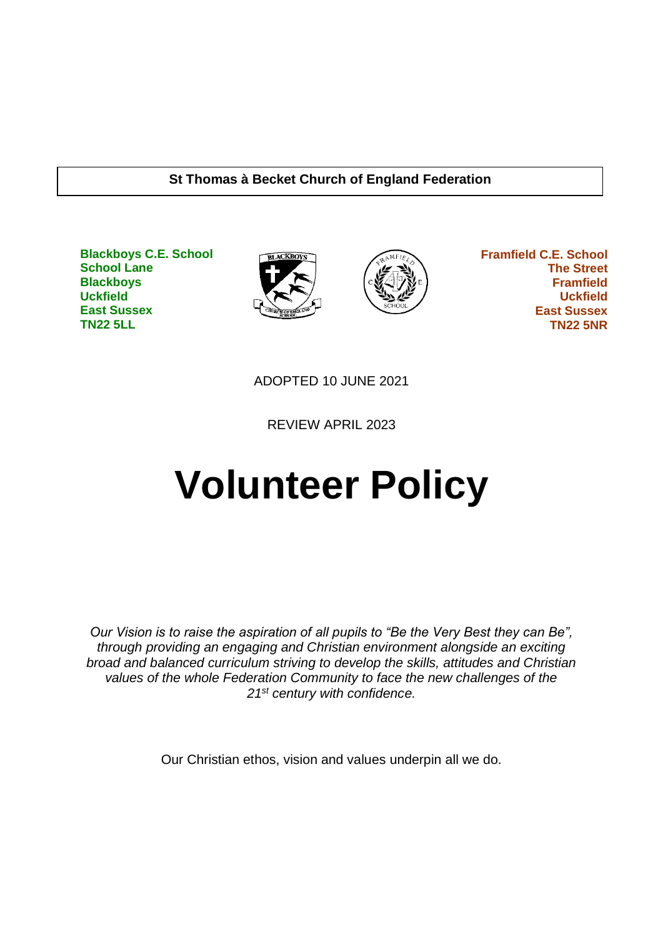#### **St Thomas à Becket Church of England Federation**

**Blackboys C.E. School School Lane Blackboys Uckfield East Sussex TN22 5LL**





 **Framfield C.E. School The Street Framfield Uckfield East Sussex TN22 5NR**

ADOPTED 10 JUNE 2021

REVIEW APRIL 2023

# **Volunteer Policy**

*Our Vision is to raise the aspiration of all pupils to "Be the Very Best they can Be", through providing an engaging and Christian environment alongside an exciting broad and balanced curriculum striving to develop the skills, attitudes and Christian values of the whole Federation Community to face the new challenges of the 21st century with confidence.*

Our Christian ethos, vision and values underpin all we do.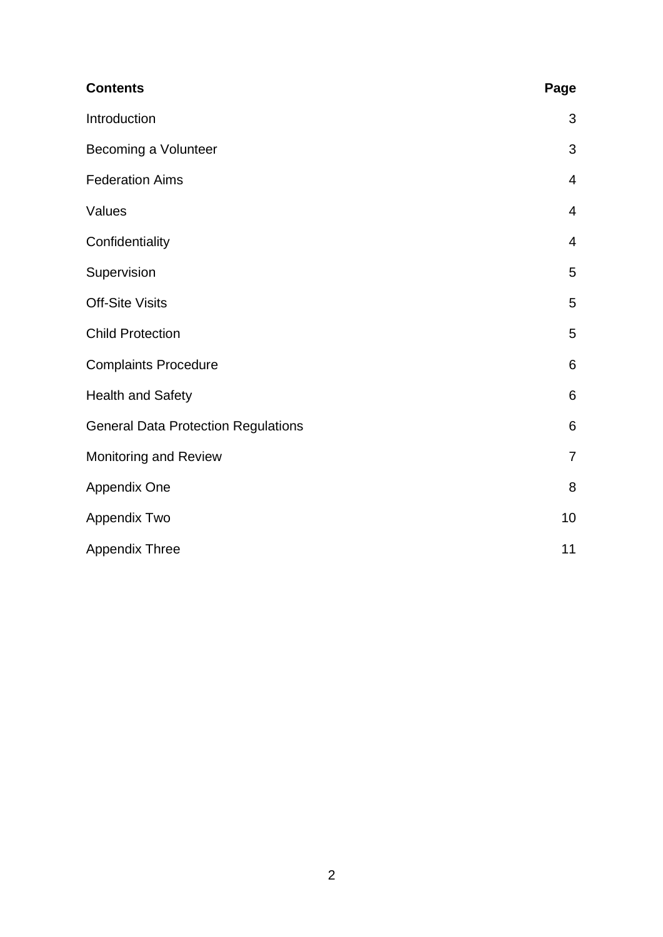| <b>Contents</b>                            | Page           |
|--------------------------------------------|----------------|
| Introduction                               | 3              |
| Becoming a Volunteer                       | 3              |
| <b>Federation Aims</b>                     | $\overline{4}$ |
| Values                                     | $\overline{4}$ |
| Confidentiality                            | 4              |
| Supervision                                | 5              |
| <b>Off-Site Visits</b>                     | 5              |
| <b>Child Protection</b>                    | 5              |
| <b>Complaints Procedure</b>                | 6              |
| <b>Health and Safety</b>                   | 6              |
| <b>General Data Protection Regulations</b> | 6              |
| Monitoring and Review                      | 7              |
| Appendix One                               | 8              |
| Appendix Two                               | 10             |
| <b>Appendix Three</b>                      | 11             |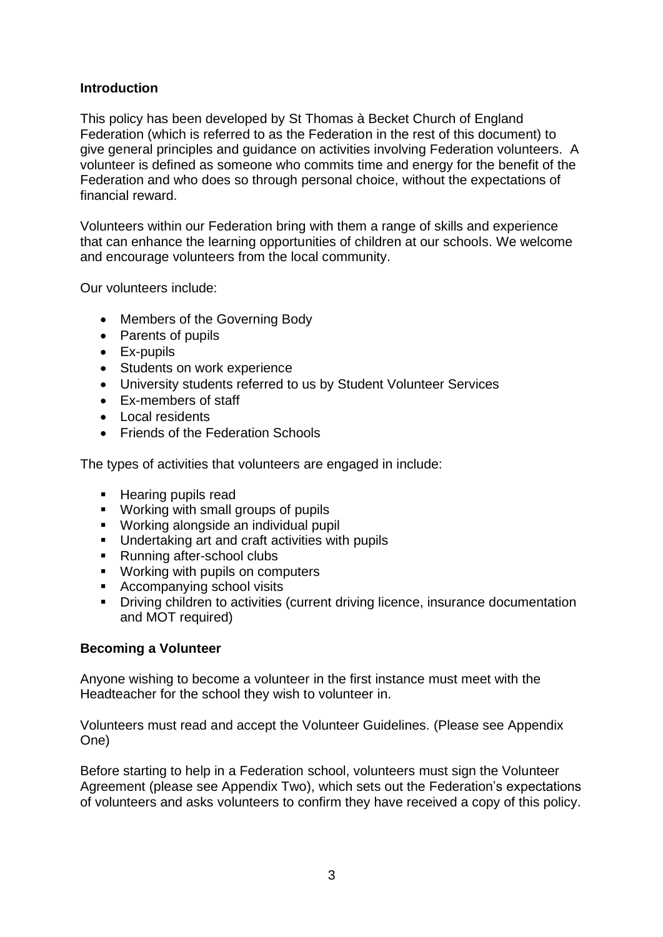# **Introduction**

This policy has been developed by St Thomas à Becket Church of England Federation (which is referred to as the Federation in the rest of this document) to give general principles and guidance on activities involving Federation volunteers. A volunteer is defined as someone who commits time and energy for the benefit of the Federation and who does so through personal choice, without the expectations of financial reward.

Volunteers within our Federation bring with them a range of skills and experience that can enhance the learning opportunities of children at our schools. We welcome and encourage volunteers from the local community.

Our volunteers include:

- Members of the Governing Body
- Parents of pupils
- Ex-pupils
- Students on work experience
- University students referred to us by Student Volunteer Services
- Ex-members of staff
- Local residents
- Friends of the Federation Schools

The types of activities that volunteers are engaged in include:

- Hearing pupils read
- Working with small groups of pupils
- Working alongside an individual pupil
- Undertaking art and craft activities with pupils
- Running after-school clubs
- Working with pupils on computers
- Accompanying school visits
- **•** Driving children to activities (current driving licence, insurance documentation and MOT required)

#### **Becoming a Volunteer**

Anyone wishing to become a volunteer in the first instance must meet with the Headteacher for the school they wish to volunteer in.

Volunteers must read and accept the Volunteer Guidelines. (Please see Appendix One)

Before starting to help in a Federation school, volunteers must sign the Volunteer Agreement (please see Appendix Two), which sets out the Federation's expectations of volunteers and asks volunteers to confirm they have received a copy of this policy.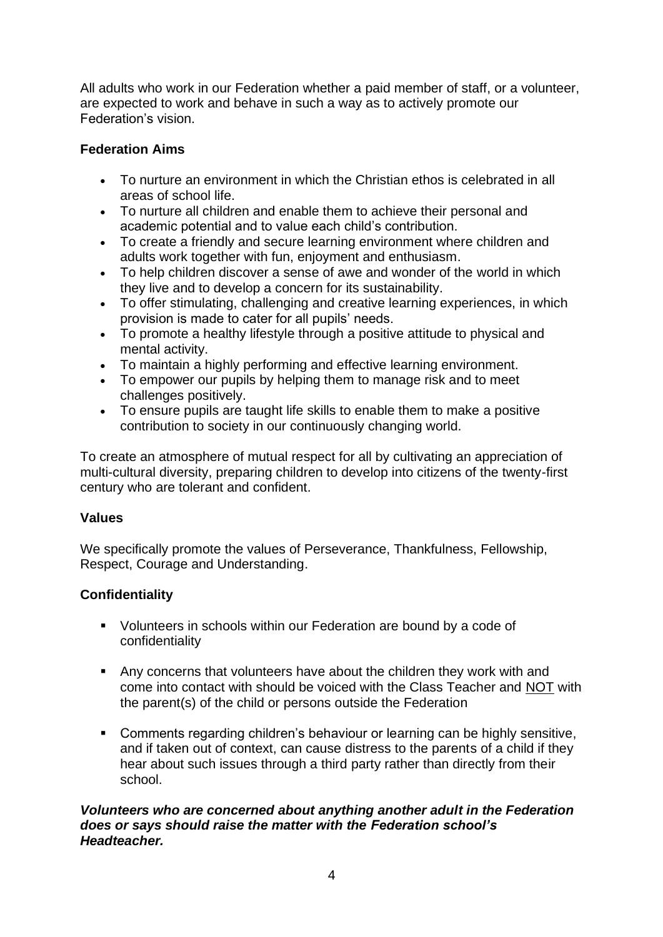All adults who work in our Federation whether a paid member of staff, or a volunteer, are expected to work and behave in such a way as to actively promote our Federation's vision.

# **Federation Aims**

- To nurture an environment in which the Christian ethos is celebrated in all areas of school life.
- To nurture all children and enable them to achieve their personal and academic potential and to value each child's contribution.
- To create a friendly and secure learning environment where children and adults work together with fun, enjoyment and enthusiasm.
- To help children discover a sense of awe and wonder of the world in which they live and to develop a concern for its sustainability.
- To offer stimulating, challenging and creative learning experiences, in which provision is made to cater for all pupils' needs.
- To promote a healthy lifestyle through a positive attitude to physical and mental activity.
- To maintain a highly performing and effective learning environment.
- To empower our pupils by helping them to manage risk and to meet challenges positively.
- To ensure pupils are taught life skills to enable them to make a positive contribution to society in our continuously changing world.

To create an atmosphere of mutual respect for all by cultivating an appreciation of multi-cultural diversity, preparing children to develop into citizens of the twenty-first century who are tolerant and confident.

# **Values**

We specifically promote the values of Perseverance, Thankfulness, Fellowship, Respect, Courage and Understanding.

# **Confidentiality**

- Volunteers in schools within our Federation are bound by a code of confidentiality
- Any concerns that volunteers have about the children they work with and come into contact with should be voiced with the Class Teacher and NOT with the parent(s) of the child or persons outside the Federation
- Comments regarding children's behaviour or learning can be highly sensitive, and if taken out of context, can cause distress to the parents of a child if they hear about such issues through a third party rather than directly from their school.

## *Volunteers who are concerned about anything another adult in the Federation does or says should raise the matter with the Federation school's Headteacher.*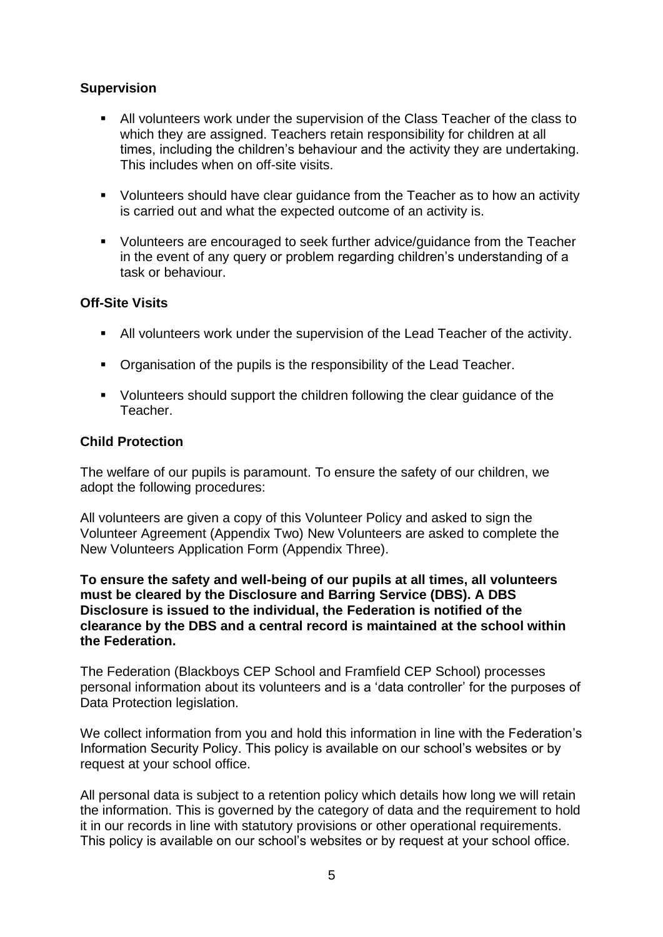# **Supervision**

- All volunteers work under the supervision of the Class Teacher of the class to which they are assigned. Teachers retain responsibility for children at all times, including the children's behaviour and the activity they are undertaking. This includes when on off-site visits.
- Volunteers should have clear quidance from the Teacher as to how an activity is carried out and what the expected outcome of an activity is.
- Volunteers are encouraged to seek further advice/guidance from the Teacher in the event of any query or problem regarding children's understanding of a task or behaviour.

# **Off-Site Visits**

- All volunteers work under the supervision of the Lead Teacher of the activity.
- Organisation of the pupils is the responsibility of the Lead Teacher.
- Volunteers should support the children following the clear guidance of the Teacher.

# **Child Protection**

The welfare of our pupils is paramount. To ensure the safety of our children, we adopt the following procedures:

All volunteers are given a copy of this Volunteer Policy and asked to sign the Volunteer Agreement (Appendix Two) New Volunteers are asked to complete the New Volunteers Application Form (Appendix Three).

**To ensure the safety and well-being of our pupils at all times, all volunteers must be cleared by the Disclosure and Barring Service (DBS). A DBS Disclosure is issued to the individual, the Federation is notified of the clearance by the DBS and a central record is maintained at the school within the Federation.**

The Federation (Blackboys CEP School and Framfield CEP School) processes personal information about its volunteers and is a 'data controller' for the purposes of Data Protection legislation.

We collect information from you and hold this information in line with the Federation's Information Security Policy. This policy is available on our school's websites or by request at your school office.

All personal data is subject to a retention policy which details how long we will retain the information. This is governed by the category of data and the requirement to hold it in our records in line with statutory provisions or other operational requirements. This policy is available on our school's websites or by request at your school office.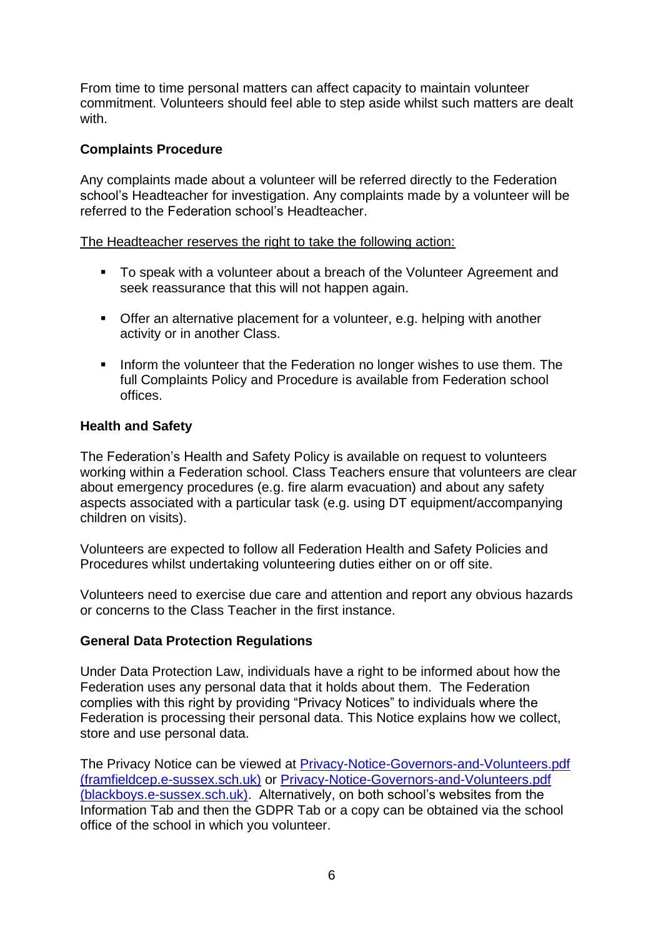From time to time personal matters can affect capacity to maintain volunteer commitment. Volunteers should feel able to step aside whilst such matters are dealt with.

# **Complaints Procedure**

Any complaints made about a volunteer will be referred directly to the Federation school's Headteacher for investigation. Any complaints made by a volunteer will be referred to the Federation school's Headteacher.

The Headteacher reserves the right to take the following action:

- To speak with a volunteer about a breach of the Volunteer Agreement and seek reassurance that this will not happen again.
- Offer an alternative placement for a volunteer, e.g. helping with another activity or in another Class.
- **•** Inform the volunteer that the Federation no longer wishes to use them. The full Complaints Policy and Procedure is available from Federation school offices.

#### **Health and Safety**

The Federation's Health and Safety Policy is available on request to volunteers working within a Federation school. Class Teachers ensure that volunteers are clear about emergency procedures (e.g. fire alarm evacuation) and about any safety aspects associated with a particular task (e.g. using DT equipment/accompanying children on visits).

Volunteers are expected to follow all Federation Health and Safety Policies and Procedures whilst undertaking volunteering duties either on or off site.

Volunteers need to exercise due care and attention and report any obvious hazards or concerns to the Class Teacher in the first instance.

#### **General Data Protection Regulations**

Under Data Protection Law, individuals have a right to be informed about how the Federation uses any personal data that it holds about them. The Federation complies with this right by providing "Privacy Notices" to individuals where the Federation is processing their personal data. This Notice explains how we collect, store and use personal data.

The Privacy Notice can be viewed at [Privacy-Notice-Governors-and-Volunteers.pdf](https://www.framfieldcep.e-sussex.sch.uk/wp-content/uploads/2021/06/Privacy-Notice-Governors-and-Volunteers.pdf)  [\(framfieldcep.e-sussex.sch.uk\)](https://www.framfieldcep.e-sussex.sch.uk/wp-content/uploads/2021/06/Privacy-Notice-Governors-and-Volunteers.pdf) or [Privacy-Notice-Governors-and-Volunteers.pdf](https://www.blackboys.e-sussex.sch.uk/wp-content/uploads/2021/06/Privacy-Notice-Governors-and-Volunteers.pdf)  [\(blackboys.e-sussex.sch.uk\).](https://www.blackboys.e-sussex.sch.uk/wp-content/uploads/2021/06/Privacy-Notice-Governors-and-Volunteers.pdf) Alternatively, on both school's websites from the Information Tab and then the GDPR Tab or a copy can be obtained via the school office of the school in which you volunteer.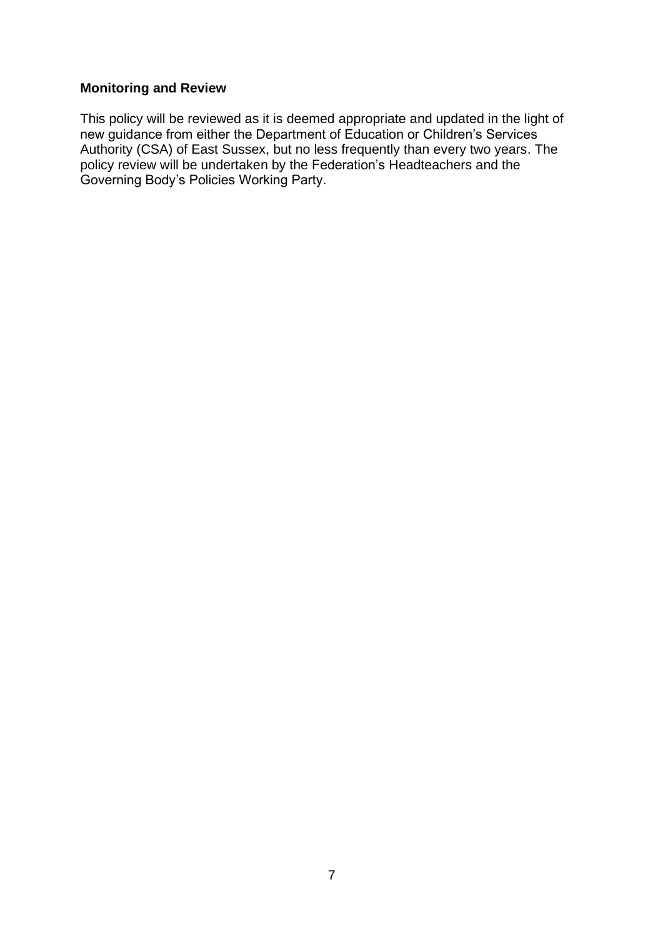# **Monitoring and Review**

This policy will be reviewed as it is deemed appropriate and updated in the light of new guidance from either the Department of Education or Children's Services Authority (CSA) of East Sussex, but no less frequently than every two years. The policy review will be undertaken by the Federation's Headteachers and the Governing Body's Policies Working Party.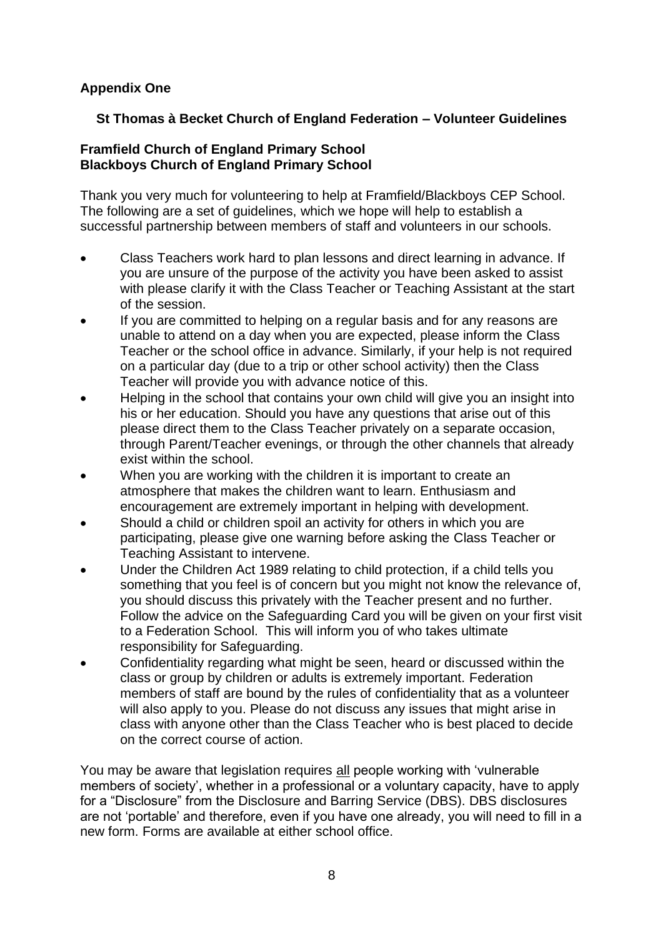# **Appendix One**

# **St Thomas à Becket Church of England Federation – Volunteer Guidelines**

#### **Framfield Church of England Primary School Blackboys Church of England Primary School**

Thank you very much for volunteering to help at Framfield/Blackboys CEP School. The following are a set of guidelines, which we hope will help to establish a successful partnership between members of staff and volunteers in our schools.

- Class Teachers work hard to plan lessons and direct learning in advance. If you are unsure of the purpose of the activity you have been asked to assist with please clarify it with the Class Teacher or Teaching Assistant at the start of the session.
- If you are committed to helping on a regular basis and for any reasons are unable to attend on a day when you are expected, please inform the Class Teacher or the school office in advance. Similarly, if your help is not required on a particular day (due to a trip or other school activity) then the Class Teacher will provide you with advance notice of this.
- Helping in the school that contains your own child will give you an insight into his or her education. Should you have any questions that arise out of this please direct them to the Class Teacher privately on a separate occasion, through Parent/Teacher evenings, or through the other channels that already exist within the school.
- When you are working with the children it is important to create an atmosphere that makes the children want to learn. Enthusiasm and encouragement are extremely important in helping with development.
- Should a child or children spoil an activity for others in which you are participating, please give one warning before asking the Class Teacher or Teaching Assistant to intervene.
- Under the Children Act 1989 relating to child protection, if a child tells you something that you feel is of concern but you might not know the relevance of, you should discuss this privately with the Teacher present and no further. Follow the advice on the Safeguarding Card you will be given on your first visit to a Federation School. This will inform you of who takes ultimate responsibility for Safeguarding.
- Confidentiality regarding what might be seen, heard or discussed within the class or group by children or adults is extremely important. Federation members of staff are bound by the rules of confidentiality that as a volunteer will also apply to you. Please do not discuss any issues that might arise in class with anyone other than the Class Teacher who is best placed to decide on the correct course of action.

You may be aware that legislation requires all people working with 'vulnerable members of society', whether in a professional or a voluntary capacity, have to apply for a "Disclosure" from the Disclosure and Barring Service (DBS). DBS disclosures are not 'portable' and therefore, even if you have one already, you will need to fill in a new form. Forms are available at either school office.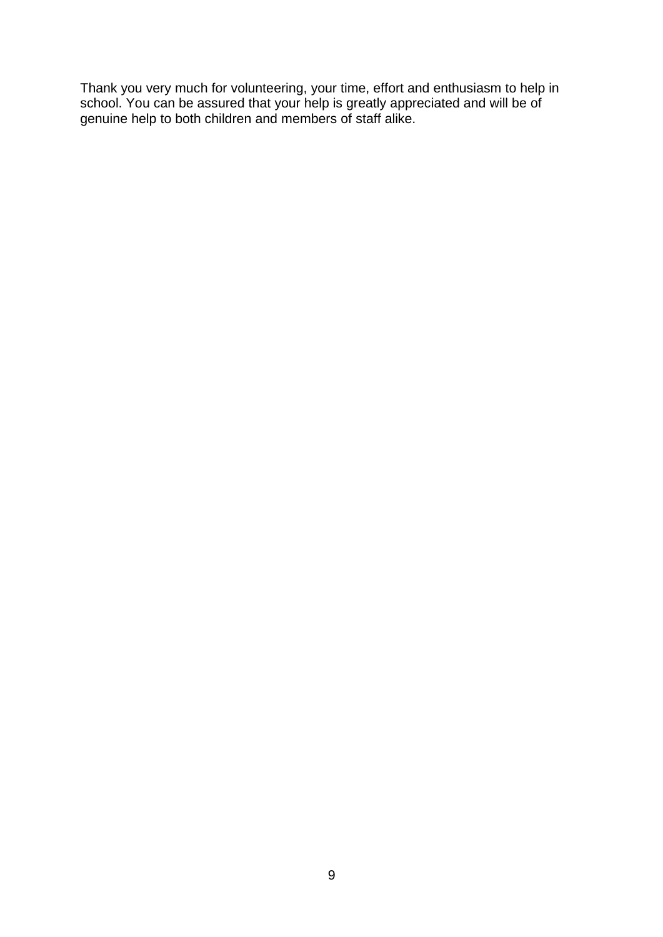Thank you very much for volunteering, your time, effort and enthusiasm to help in school. You can be assured that your help is greatly appreciated and will be of genuine help to both children and members of staff alike.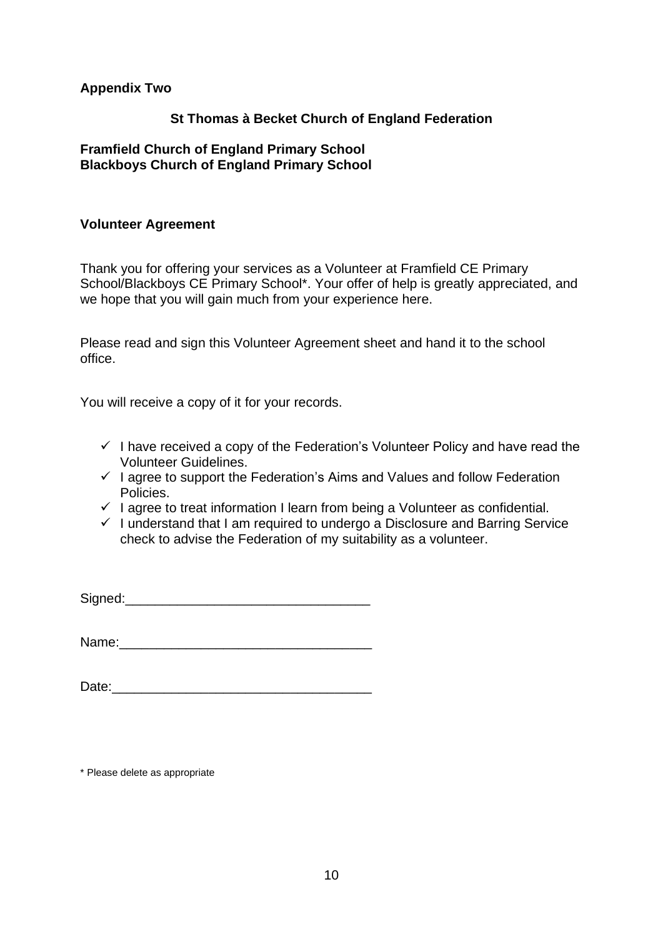#### **Appendix Two**

#### **St Thomas à Becket Church of England Federation**

#### **Framfield Church of England Primary School Blackboys Church of England Primary School**

#### **Volunteer Agreement**

Thank you for offering your services as a Volunteer at Framfield CE Primary School/Blackboys CE Primary School\*. Your offer of help is greatly appreciated, and we hope that you will gain much from your experience here.

Please read and sign this Volunteer Agreement sheet and hand it to the school office.

You will receive a copy of it for your records.

- $\checkmark$  I have received a copy of the Federation's Volunteer Policy and have read the Volunteer Guidelines.
- $\checkmark$  I agree to support the Federation's Aims and Values and follow Federation Policies.
- $\checkmark$  I agree to treat information I learn from being a Volunteer as confidential.
- ✓ I understand that I am required to undergo a Disclosure and Barring Service check to advise the Federation of my suitability as a volunteer.

Signed:

Name:\_\_\_\_\_\_\_\_\_\_\_\_\_\_\_\_\_\_\_\_\_\_\_\_\_\_\_\_\_\_\_\_\_\_

Date:

\* Please delete as appropriate